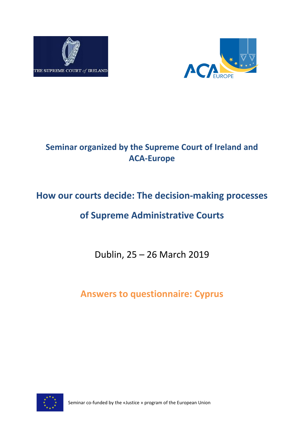



## **Seminar organized by the Supreme Court of Ireland and ACA-Europe**

## **How our courts decide: The decision-making processes**

## **of Supreme Administrative Courts**

Dublin, 25 – 26 March 2019

**Answers to questionnaire: Cyprus**



Seminar co-funded by the «Justice » program of the European Union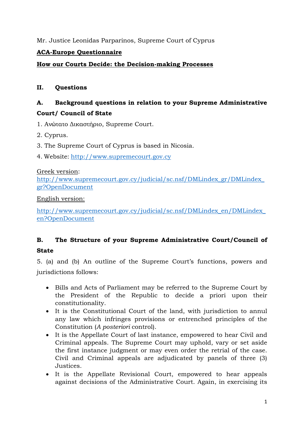#### Mr. Justice Leonidas Parparinos, Supreme Court of Cyprus

#### **ACA-Europe Questionnaire**

#### **How our Courts Decide: the Decision-making Processes**

#### **II. Questions**

### **A. Background questions in relation to your Supreme Administrative Court/ Council of State**

- 1. Ανώτατο Δικαστήριο, Supreme Court.
- 2. Cyprus.
- 3. The Supreme Court of Cyprus is based in Nicosia.
- 4. Website: [http://www.supremecourt.gov.cy](http://www.supremecourt.gov.cy/)

#### Greek version:

[http://www.supremecourt.gov.cy/judicial/sc.nsf/DMLindex\\_gr/DMLindex\\_](http://www.supremecourt.gov.cy/judicial/sc.nsf/DMLindex_gr/DMLindex_gr?OpenDocument) [gr?OpenDocument](http://www.supremecourt.gov.cy/judicial/sc.nsf/DMLindex_gr/DMLindex_gr?OpenDocument)

#### English version:

[http://www.supremecourt.gov.cy/judicial/sc.nsf/DMLindex\\_en/DMLindex\\_](http://www.supremecourt.gov.cy/judicial/sc.nsf/DMLindex_en/DMLindex_en?OpenDocument) [en?OpenDocument](http://www.supremecourt.gov.cy/judicial/sc.nsf/DMLindex_en/DMLindex_en?OpenDocument)

# **B. The Structure of your Supreme Administrative Court/Council of**

#### **State**

5. (a) and (b) An outline of the Supreme Court's functions, powers and jurisdictions follows:

- Bills and Acts of Parliament may be referred to the Supreme Court by the President of the Republic to decide a priori upon their constitutionality.
- It is the Constitutional Court of the land, with jurisdiction to annul any law which infringes provisions or entrenched principles of the Constitution (*A posteriori* control).
- It is the Appellate Court of last instance, empowered to hear Civil and Criminal appeals. The Supreme Court may uphold, vary or set aside the first instance judgment or may even order the retrial of the case. Civil and Criminal appeals are adjudicated by panels of three (3) Justices.
- It is the Appellate Revisional Court, empowered to hear appeals against decisions of the Administrative Court. Again, in exercising its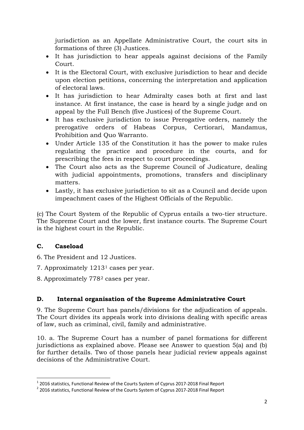jurisdiction as an Appellate Administrative Court, the court sits in formations of three (3) Justices.

- It has jurisdiction to hear appeals against decisions of the Family Court.
- It is the Electoral Court, with exclusive jurisdiction to hear and decide upon election petitions, concerning the interpretation and application of electoral laws.
- It has jurisdiction to hear Admiralty cases both at first and last instance. At first instance, the case is heard by a single judge and on appeal by the Full Bench (five Justices) of the Supreme Court.
- It has exclusive jurisdiction to issue Prerogative orders, namely the prerogative orders of Habeas Corpus, Certiorari, Mandamus, Prohibition and Quo Warranto.
- Under Article 135 of the Constitution it has the power to make rules regulating the practice and procedure in the courts, and for prescribing the fees in respect to court proceedings.
- The Court also acts as the Supreme Council of Judicature, dealing with judicial appointments, promotions, transfers and disciplinary matters.
- Lastly, it has exclusive jurisdiction to sit as a Council and decide upon impeachment cases of the Highest Officials of the Republic.

(c) The Court System of the Republic of Cyprus entails a two-tier structure. The Supreme Court and the lower, first instance courts. The Supreme Court is the highest court in the Republic.

#### **C. Caseload**

- 6. The President and 12 Justices.
- 7. Approximately 1213[1](#page-2-0) cases per year.
- 8. Approximately 778[2](#page-2-1) cases per year.

#### **D. Internal organisation of the Supreme Administrative Court**

9. The Supreme Court has panels/divisions for the adjudication of appeals. The Court divides its appeals work into divisions dealing with specific areas of law, such as criminal, civil, family and administrative.

10. a. The Supreme Court has a number of panel formations for different jurisdictions as explained above. Please see Answer to question 5(a) and (b) for further details. Two of those panels hear judicial review appeals against decisions of the Administrative Court.

<span id="page-2-0"></span><sup>&</sup>lt;sup>1</sup> 2016 statistics, Functional Review of the Courts System of Cyprus 2017-2018 Final Report <sup>2</sup> 2016 statistics. Functional Review of the Courts System of Cyprus 2017-2018 Final Report

<span id="page-2-1"></span>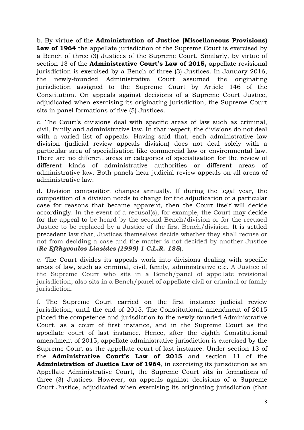b. By virtue of the **Administration of Justice (Miscellaneous Provisions) Law of 1964** the appellate jurisdiction of the Supreme Court is exercised by a Bench of three (3) Justices of the Supreme Court. Similarly, by virtue of section 13 of the **Administrative Court's Law of 2015,** appellate revisional jurisdiction is exercised by a Bench of three (3) Justices. In January 2016, the newly-founded Administrative Court assumed the originating jurisdiction assigned to the Supreme Court by Article 146 of the Constitution. On appeals against decisions of a Supreme Court Justice, adjudicated when exercising its originating jurisdiction, the Supreme Court sits in panel formations of five (5) Justices.

c. The Court's divisions deal with specific areas of law such as criminal, civil, family and administrative law. In that respect, the divisions do not deal with a varied list of appeals. Having said that, each administrative law division (judicial review appeals division) does not deal solely with a particular area of specialisation like commercial law or environmental law. There are no different areas or categories of specialisation for the review of different kinds of administrative authorities or different areas of administrative law. Both panels hear judicial review appeals on all areas of administrative law.

d. Division composition changes annually. If during the legal year, the composition of a division needs to change for the adjudication of a particular case for reasons that became apparent, then the Court itself will decide accordingly. In the event of a recusal(s), for example, the Court may decide for the appeal to be heard by the second Bench/division or for the recused Justice to be replaced by a Justice of the first Bench/division. It is settled precedent law that, Justices themselves decide whether they shall recuse or not from deciding a case and the matter is not decided by another Justice (*Re Efthyvoulos Liasides (1999) 1 C.L.R. 185*).

e. The Court divides its appeals work into divisions dealing with specific areas of law, such as criminal, civil, family, administrative etc. A Justice of the Supreme Court who sits in a Bench/panel of appellate revisional jurisdiction, also sits in a Bench/panel of appellate civil or criminal or family jurisdiction.

f. The Supreme Court carried on the first instance judicial review jurisdiction, until the end of 2015. The Constitutional amendment of 2015 placed the competence and jurisdiction to the newly-founded Administrative Court, as a court of first instance, and in the Supreme Court as the appellate court of last instance. Hence, after the eighth Constitutional amendment of 2015, appellate administrative jurisdiction is exercised by the Supreme Court as the appellate court of last instance. Under section 13 of the **Administrative Court's Law of 2015** and section 11 of the **Administration of Justice Law of 1964**, in exercising its jurisdiction as an Appellate Administrative Court, the Supreme Court sits in formations of three (3) Justices. However, on appeals against decisions of a Supreme Court Justice, adjudicated when exercising its originating jurisdiction (that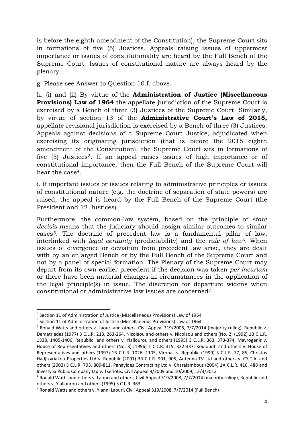is before the eighth amendment of the Constitution), the Supreme Court sits in formations of five (5) Justices. Appeals raising issues of uppermost importance or issues of constitutionality are heard by the Full Bench of the Supreme Court. Issues of constitutional nature are always heard by the plenary.

g. Please see Answer to Question 10.f. above.

h. (i) and (ii) By virtue of the **Administration of Justice (Miscellaneous Provisions) Law of 1964** the appellate jurisdiction of the Supreme Court is exercised by a Bench of three (3) Justices of the Supreme Court. Similarly, by virtue of section 13 of the **Administrative Court's Law of 2015,**  appellate revisional jurisdiction is exercised by a Bench of three (3) Justices. Appeals against decisions of a Supreme Court Justice, adjudicated when exercising its originating jurisdiction (that is before the 2015 eighth amendment of the Constitution), the Supreme Court sits in formations of five (5) Justices<sup>[3](#page-4-0)</sup>. If an appeal raises issues of high importance or of constitutional importance, then the Full Bench of the Supreme Court will hear the case[4](#page-4-1).

i. If important issues or issues relating to administrative principles or issues of constitutional nature (e.g. the doctrine of separation of state powers) are raised, the appeal is heard by the Full Bench of the Supreme Court (the President and 12 Justices).

Furthermore, the common-law system, based on the principle of *stare decisis* means that the judiciary should assign similar outcomes to similar cases[5](#page-4-2). The doctrine of precedent law is a fundamental pillar of law, interlinked with *legal certainty* (predictability) and the *rule of law*[6.](#page-4-3) When issues of divergence or deviation from precedent law arise, they are dealt with by an enlarged Bench or by the Full Bench of the Supreme Court and not by a panel of special formation. The Plenary of the Supreme Court may depart from its own earlier precedent if the decision was taken *per incuriam* or there have been material changes in circumstances in the application of the legal principle(s) in issue. The discretion for departure widens when constitutional or administrative law issues are concerned[7.](#page-4-4)

<span id="page-4-2"></span>

<span id="page-4-1"></span><span id="page-4-0"></span><sup>&</sup>lt;sup>3</sup> Section 11 of Administration of Justice (Miscellaneous Provisions) Law of 1964<br><sup>4</sup> Section 11 of Administration of Justice (Miscellaneous Provisions) Law of 1964<br><sup>5</sup> Ronald Watts and others v. Laouri and others, Civil Demetriades (1977) 3 C.L.R. 213, 263-264, Nicolaou and others v. Nicolaou and others (No. 2) (1992) 1B C.L.R. 1338, 1405-1406, Republic and others v. Yiallourou and others (1995) 3 C.L.R. 363, 373-374, Mavrogenis v. House of Representatives and others (No. 3) (1996) 1 C.L.R. 315, 332-337, Koulounti and others v. House of Representatives and others (1997) 1B C.L.R. 1026, 1105, Vironas v. Republic (1999) 3 C.L.R. 77, 85, Christos Hadjikyriakou Properties Ltd v. Republic (2001) 3B C.L.R. 901, 905, Antenna TV Ltd and others v. CY.T.A. and others (2002) 3 C.L.R. 793, 809-811, Panayides Contracting Ltd v. Charalambous (2004) 1A C.L.R. 416, 488 and Investylia Public Company Ltd v. Tseriotis, Civil Appeal 9/2009 and 10/2009, 13/3/2013

<span id="page-4-3"></span> $6$  Ronald Watts and others v. Laouri and others, Civil Appeal 319/2008, 7/7/2014 (majority ruling), Republic and others v. Yiallourou and others (1995) 3 C.L.R. 363<br><sup>7</sup> Ronald Watts and others v. Yianni Laouri, Civil Appeal 319/2008, 7/7/2014 (Full Bench)

<span id="page-4-4"></span>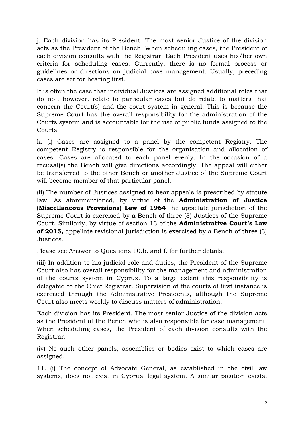j. Each division has its President. The most senior Justice of the division acts as the President of the Bench. When scheduling cases, the President of each division consults with the Registrar. Each President uses his/her own criteria for scheduling cases. Currently, there is no formal process or guidelines or directions on judicial case management. Usually, preceding cases are set for hearing first.

It is often the case that individual Justices are assigned additional roles that do not, however, relate to particular cases but do relate to matters that concern the Court(s) and the court system in general. This is because the Supreme Court has the overall responsibility for the administration of the Courts system and is accountable for the use of public funds assigned to the Courts.

k. (i) Cases are assigned to a panel by the competent Registry. The competent Registry is responsible for the organisation and allocation of cases. Cases are allocated to each panel evenly. In the occasion of a recusal(s) the Bench will give directions accordingly. The appeal will either be transferred to the other Bench or another Justice of the Supreme Court will become member of that particular panel.

(ii) The number of Justices assigned to hear appeals is prescribed by statute law. As aforementioned, by virtue of the **Administration of Justice (Miscellaneous Provisions) Law of 1964** the appellate jurisdiction of the Supreme Court is exercised by a Bench of three (3) Justices of the Supreme Court. Similarly, by virtue of section 13 of the **Administrative Court's Law of 2015,** appellate revisional jurisdiction is exercised by a Bench of three (3) Justices.

Please see Answer to Questions 10.b. and f. for further details.

(iii) In addition to his judicial role and duties, the President of the Supreme Court also has overall responsibility for the management and administration of the courts system in Cyprus. To a large extent this responsibility is delegated to the Chief Registrar. Supervision of the courts of first instance is exercised through the Administrative Presidents, although the Supreme Court also meets weekly to discuss matters of administration.

Each division has its President. The most senior Justice of the division acts as the President of the Bench who is also responsible for case management. When scheduling cases, the President of each division consults with the Registrar.

(iv) No such other panels, assemblies or bodies exist to which cases are assigned.

11. (i) The concept of Advocate General, as established in the civil law systems, does not exist in Cyprus' legal system. A similar position exists,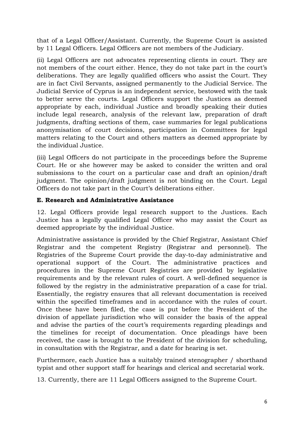that of a Legal Officer/Assistant. Currently, the Supreme Court is assisted by 11 Legal Officers. Legal Officers are not members of the Judiciary.

(ii) Legal Officers are not advocates representing clients in court. They are not members of the court either. Hence, they do not take part in the court's deliberations. They are legally qualified officers who assist the Court. They are in fact Civil Servants, assigned permanently to the Judicial Service. The Judicial Service of Cyprus is an independent service, bestowed with the task to better serve the courts. Legal Officers support the Justices as deemed appropriate by each, individual Justice and broadly speaking their duties include legal research, analysis of the relevant law, preparation of draft judgments, drafting sections of them, case summaries for legal publications anonymisation of court decisions, participation in Committees for legal matters relating to the Court and others matters as deemed appropriate by the individual Justice.

(iii) Legal Officers do not participate in the proceedings before the Supreme Court. He or she however may be asked to consider the written and oral submissions to the court on a particular case and draft an opinion/draft judgment. The opinion/draft judgment is not binding on the Court. Legal Officers do not take part in the Court's deliberations either.

#### **E. Research and Administrative Assistance**

12. Legal Officers provide legal research support to the Justices. Each Justice has a legally qualified Legal Officer who may assist the Court as deemed appropriate by the individual Justice.

Administrative assistance is provided by the Chief Registrar, Assistant Chief Registrar and the competent Registry (Registrar and personnel). The Registries of the Supreme Court provide the day-to-day administrative and operational support of the Court. The administrative practices and procedures in the Supreme Court Registries are provided by legislative requirements and by the relevant rules of court. A well-defined sequence is followed by the registry in the administrative preparation of a case for trial. Essentially, the registry ensures that all relevant documentation is received within the specified timeframes and in accordance with the rules of court. Once these have been filed, the case is put before the President of the division of appellate jurisdiction who will consider the basis of the appeal and advise the parties of the court's requirements regarding pleadings and the timelines for receipt of documentation. Once pleadings have been received, the case is brought to the President of the division for scheduling, in consultation with the Registrar, and a date for hearing is set.

Furthermore, each Justice has a suitably trained stenographer / shorthand typist and other support staff for hearings and clerical and secretarial work.

13. Currently, there are 11 Legal Officers assigned to the Supreme Court.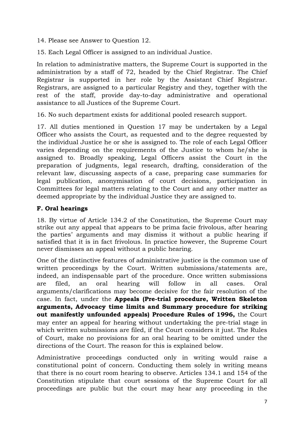14. Please see Answer to Question 12.

15. Each Legal Officer is assigned to an individual Justice.

In relation to administrative matters, the Supreme Court is supported in the administration by a staff of 72, headed by the Chief Registrar. The Chief Registrar is supported in her role by the Assistant Chief Registrar. Registrars, are assigned to a particular Registry and they, together with the rest of the staff, provide day-to-day administrative and operational assistance to all Justices of the Supreme Court.

16. No such department exists for additional pooled research support.

17. All duties mentioned in Question 17 may be undertaken by a Legal Officer who assists the Court, as requested and to the degree requested by the individual Justice he or she is assigned to. The role of each Legal Officer varies depending on the requirements of the Justice to whom he/she is assigned to. Broadly speaking, Legal Officers assist the Court in the preparation of judgments, legal research, drafting, consideration of the relevant law, discussing aspects of a case, preparing case summaries for legal publication, anonymisation of court decisions, participation in Committees for legal matters relating to the Court and any other matter as deemed appropriate by the individual Justice they are assigned to.

#### **F. Oral hearings**

18. By virtue of Article 134.2 of the Constitution, the Supreme Court may strike out any appeal that appears to be prima facie frivolous, after hearing the parties' arguments and may dismiss it without a public hearing if satisfied that it is in fact frivolous. In practice however, the Supreme Court never dismisses an appeal without a public hearing.

One of the distinctive features of administrative justice is the common use of written proceedings by the Court. Written submissions/statements are, indeed, an indispensable part of the procedure. Once written submissions are filed, an oral hearing will follow in all cases. Oral arguments/clarifications may become decisive for the fair resolution of the case. In fact, under the **Appeals (Pre-trial procedure, Written Skeleton arguments, Advocacy time limits and Summary procedure for striking out manifestly unfounded appeals) Procedure Rules of 1996,** the Court may enter an appeal for hearing without undertaking the pre-trial stage in which written submissions are filed, if the Court considers it just. The Rules of Court, make no provisions for an oral hearing to be omitted under the directions of the Court. The reason for this is explained below.

Administrative proceedings conducted only in writing would raise a constitutional point of concern. Conducting them solely in writing means that there is no court room hearing to observe. Articles 134.1 and 154 of the Constitution stipulate that court sessions of the Supreme Court for all proceedings are public but the court may hear any proceeding in the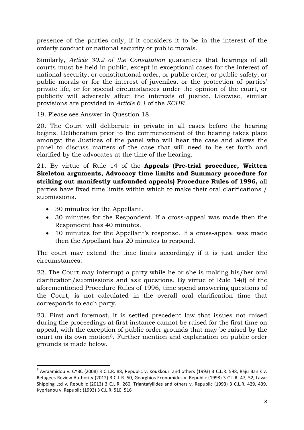presence of the parties only, if it considers it to be in the interest of the orderly conduct or national security or public morals.

Similarly, *Article 30.2 of the Constitution* guarantees that hearings of all courts must be held in public, except in exceptional cases for the interest of national security, or constitutional order, or public order, or public safety, or public morals or for the interest of juveniles, or the protection of parties' private life, or for special circumstances under the opinion of the court, or publicity will adversely affect the interests of justice*.* Likewise, similar provisions are provided in *Article 6.1* of the *ECHR*.

19. Please see Answer in Question 18.

20. The Court will deliberate in private in all cases before the hearing begins. Deliberation prior to the commencement of the hearing takes place amongst the Justices of the panel who will hear the case and allows the panel to discuss matters of the case that will need to be set forth and clarified by the advocates at the time of the hearing.

21. By virtue of Rule 14 of the **Appeals (Pre-trial procedure, Written Skeleton arguments, Advocacy time limits and Summary procedure for striking out manifestly unfounded appeals) Procedure Rules of 1996,** all parties have fixed time limits within which to make their oral clarifications / submissions.

- 30 minutes for the Appellant.
- 30 minutes for the Respondent. If a cross-appeal was made then the Respondent has 40 minutes.
- 10 minutes for the Appellant's response. If a cross-appeal was made then the Appellant has 20 minutes to respond.

The court may extend the time limits accordingly if it is just under the circumstances.

22. The Court may interrupt a party while he or she is making his/her oral clarification/submissions and ask questions. By virtue of Rule 14(f) of the aforementioned Procedure Rules of 1996, time spend answering questions of the Court, is not calculated in the overall oral clarification time that corresponds to each party.

23. First and foremost, it is settled precedent law that issues not raised during the proceedings at first instance cannot be raised for the first time on appeal, with the exception of public order grounds that may be raised by the court on its own motion[8.](#page-8-0) Further mention and explanation on public order grounds is made below.

<span id="page-8-0"></span> <sup>8</sup> Avraamidou v. CYBC (2008) 3 C.L.R. 88, Republic v. Koukkouri and others (1993) 3 C.L.R. 598, Raju Banik v. Refugees Review Authority (2012) 3 C.L.R. 50, Georghios Economides v. Republic (1998) 3 C.L.R. 47, 52, Lavar Shipping Ltd v. Republic (2013) 3 C.L.R. 260, Triantafyllides and others v. Republic (1993) 3 C.L.R. 429, 439, Kyprianou v. Republic (1993) 3 C.L.R. 510, 516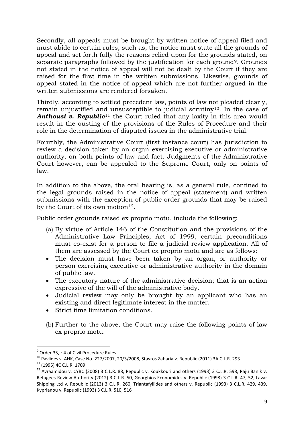Secondly, all appeals must be brought by written notice of appeal filed and must abide to certain rules; such as, the notice must state all the grounds of appeal and set forth fully the reasons relied upon for the grounds stated, on separate paragraphs followed by the justification for each ground[9.](#page-9-0) Grounds not stated in the notice of appeal will not be dealt by the Court if they are raised for the first time in the written submissions. Likewise, grounds of appeal stated in the notice of appeal which are not further argued in the written submissions are rendered forsaken.

Thirdly, according to settled precedent law, points of law not pleaded clearly, remain unjustified and unsusceptible to judicial scrutiny<sup>[10](#page-9-1)</sup>. In the case of **Anthousi v. Republic**<sup>[11](#page-9-2)</sup> the Court ruled that any laxity in this area would result in the ousting of the provisions of the Rules of Procedure and their role in the determination of disputed issues in the administrative trial.

Fourthly, the Administrative Court (first instance court) has jurisdiction to review a decision taken by an organ exercising executive or administrative authority, on both points of law and fact. Judgments of the Administrative Court however, can be appealed to the Supreme Court, only on points of law.

In addition to the above, the oral hearing is, as a general rule, confined to the legal grounds raised in the notice of appeal (statement) and written submissions with the exception of public order grounds that may be raised by the Court of its own motion<sup>12</sup>.

Public order grounds raised ex proprio motu, include the following:

- (a) By virtue of Article 146 of the Constitution and the provisions of the Administrative Law Principles, Act of 1999, certain preconditions must co-exist for a person to file a judicial review application. All of them are assessed by the Court ex proprio motu and are as follows:
- The decision must have been taken by an organ, or authority or person exercising executive or administrative authority in the domain of public law.
- The executory nature of the administrative decision; that is an action expressive of the will of the administrative body.
- Judicial review may only be brought by an applicant who has an existing and direct legitimate interest in the matter.
- Strict time limitation conditions.
- (b) Further to the above, the Court may raise the following points of law ex proprio motu:

 <sup>9</sup> Order 35, r.4 of Civil Procedure Rules

<span id="page-9-3"></span><span id="page-9-2"></span>

<span id="page-9-1"></span><span id="page-9-0"></span><sup>10&</sup>lt;br>
Pavlides v. AHK, Case No. 227/2007, 20/3/2008, Stavros Zaharia v. Republic (2011) 3A C.L.R. 293<br>
<sup>11</sup> (1995) 4C C.L.R. 1709<br>
<sup>12</sup> Avraamidou v. CYBC (2008) 3 C.L.R. 88, Republic v. Koukkouri and others (1993) 3 C.L.R. Refugees Review Authority (2012) 3 C.L.R. 50, Georghios Economides v. Republic (1998) 3 C.L.R. 47, 52, Lavar Shipping Ltd v. Republic (2013) 3 C.L.R. 260, Triantafyllides and others v. Republic (1993) 3 C.L.R. 429, 439, Kyprianou v. Republic (1993) 3 C.L.R. 510, 516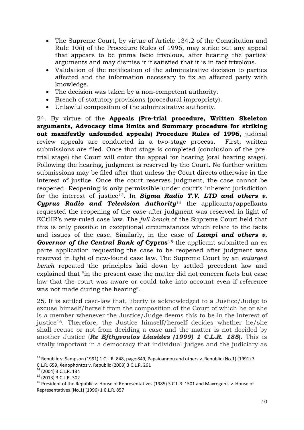- The Supreme Court, by virtue of Article 134.2 of the Constitution and Rule 10(i) of the Procedure Rules of 1996, may strike out any appeal that appears to be prima facie frivolous, after hearing the parties' arguments and may dismiss it if satisfied that it is in fact frivolous.
- Validation of the notification of the administrative decision to parties affected and the information necessary to fix an affected party with knowledge.
- The decision was taken by a non-competent authority.
- Breach of statutory provisions (procedural impropriety).
- Unlawful composition of the administrative authority.

24. By virtue of the **Appeals (Pre-trial procedure, Written Skeleton arguments, Advocacy time limits and Summary procedure for striking out manifestly unfounded appeals) Procedure Rules of 1996,** judicial review appeals are conducted in a two-stage process. First, written submissions are filed. Once that stage is completed (conclusion of the pretrial stage) the Court will enter the appeal for hearing (oral hearing stage). Following the hearing, judgment is reserved by the Court. No further written submissions may be filed after that unless the Court directs otherwise in the interest of justice. Once the court reserves judgment, the case cannot be reopened. Reopening is only permissible under court's inherent jurisdiction for the interest of justice[13](#page-10-0). In *Sigma Radio T.V. LTD and others v. Cyprus Radio and Television Authority*[14](#page-10-1) the applicants/appellants requested the reopening of the case after judgment was reserved in light of ECtHR's new-ruled case law. The *full bench* of the Supreme Court held that this is only possible in exceptional circumstances which relate to the facts and issues of the case. Similarly, in the case of *Lampi and others v. Governor of the Central Bank of Cyprus*<sup>[15](#page-10-2)</sup> the applicant submitted an ex parte application requesting the case to be reopened after judgment was reserved in light of new-found case law. The Supreme Court by an *enlarged bench* repeated the principles laid down by settled precedent law and explained that "in the present case the matter did not concern facts but case law that the court was aware or could take into account even if reference was not made during the hearing".

25. It is settled case-law that, liberty is acknowledged to a Justice/Judge to excuse himself/herself from the composition of the Court of which he or she is a member whenever the Justice/Judge deems this to be in the interest of justice<sup>[16](#page-10-3)</sup>. Therefore, the Justice himself/herself decides whether he/she shall recuse or not from deciding a case and the matter is not decided by another Justice (*Re Efthyvoulos Liasides (1999) 1 C.L.R. 185*). This is vitally important in a democracy that individual judges and the judiciary as

<span id="page-10-0"></span><sup>&</sup>lt;sup>13</sup> Republic v. Sampson (1991) 1 C.L.R. 848, page 849, Papaioannou and others v. Republic (No.1) (1991) 3

<span id="page-10-3"></span><span id="page-10-2"></span>

<span id="page-10-1"></span>C.L.R. 659, Xenophontos v. Republic (2008) 3 C.L.R. 261<br><sup>14</sup> (2004) 3 C.L.R. 134<br><sup>15</sup> (2013) 3 C.L.R. 302<br><sup>16</sup> President of the Republic v. House of Representatives (1985) 3 C.L.R. 1501 and Mavrogenis v. House of Representatives (No.1) (1996) 1 C.L.R. 857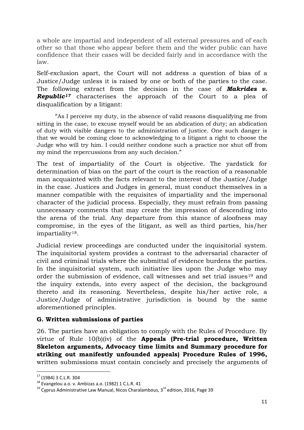a whole are impartial and independent of all external pressures and of each other so that those who appear before them and the wider public can have confidence that their cases will be decided fairly and in accordance with the law.

Self-exclusion apart, the Court will not address a question of bias of a Justice/Judge unless it is raised by one or both of the parties to the case. The following extract from the decision in the case of *Makrides v. Republic[17](#page-11-0)* characterises the approach of the Court to a plea of disqualification by a litigant:

"As I perceive my duty, in the absence of valid reasons disqualifying me from sitting in the case, to excuse myself would be an abdication of duty; an abdication of duty with visible dangers to the administration of justice. One such danger is that we would be coming close to acknowledging to a litigant a right to choose the Judge who will try him. I could neither condone such a practice nor shut off from my mind the repercussions from any such decision."

The test of impartiality of the Court is objective. The yardstick for determination of bias on the part of the court is the reaction of a reasonable man acquainted with the facts relevant to the interest of the Justice/Judge in the case. Justices and Judges in general, must conduct themselves in a manner compatible with the requisites of impartiality and the impersonal character of the judicial process. Especially, they must refrain from passing unnecessary comments that may create the impression of descending into the arena of the trial. Any departure from this stance of aloofness may compromise, in the eyes of the litigant, as well as third parties, his/her impartiality[18](#page-11-1).

Judicial review proceedings are conducted under the inquisitorial system. The inquisitorial system provides a contrast to the adversarial character of civil and criminal trials where the submittal of evidence burdens the parties. In the inquisitorial system, such initiative lies upon the Judge who may order the submission of evidence, call witnesses and set trial issues<sup>[19](#page-11-2)</sup> and the inquiry extends, into every aspect of the decision, the background thereto and its reasoning. Nevertheless, despite his/her active role, a Justice/Judge of administrative jurisdiction is bound by the same aforementioned principles.

#### **G. Written submissions of parties**

26. The parties have an obligation to comply with the Rules of Procedure. By virtue of Rule 10(b)(iv) of the **Appeals (Pre-trial procedure, Written Skeleton arguments, Advocacy time limits and Summary procedure for striking out manifestly unfounded appeals) Procedure Rules of 1996,** written submissions must contain concisely and precisely the arguments of

<span id="page-11-2"></span>

<span id="page-11-1"></span><span id="page-11-0"></span><sup>&</sup>lt;sup>17</sup> (1984) 3 C.L.R. 304<br><sup>18</sup> Evangelou a.o. v. Ambizas a.o. (1982) 1 C.L.R. 41<br><sup>19</sup> Cyprus Administrative Law Manual, Nicos Charalambous, 3<sup>rd</sup> edition, 2016, Page 39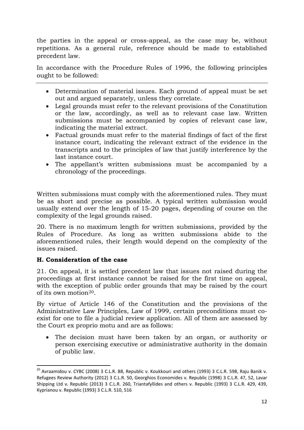the parties in the appeal or cross-appeal, as the case may be, without repetitions. As a general rule, reference should be made to established precedent law.

In accordance with the Procedure Rules of 1996, the following principles ought to be followed:

- Determination of material issues. Each ground of appeal must be set out and argued separately, unless they correlate.
- Legal grounds must refer to the relevant provisions of the Constitution or the law, accordingly, as well as to relevant case law. Written submissions must be accompanied by copies of relevant case law, indicating the material extract.
- Factual grounds must refer to the material findings of fact of the first instance court, indicating the relevant extract of the evidence in the transcripts and to the principles of law that justify interference by the last instance court.
- The appellant's written submissions must be accompanied by a chronology of the proceedings.

Written submissions must comply with the aforementioned rules. They must be as short and precise as possible. A typical written submission would usually extend over the length of 15-20 pages, depending of course on the complexity of the legal grounds raised.

20. There is no maximum length for written submissions, provided by the Rules of Procedure. As long as written submissions abide to the aforementioned rules, their length would depend on the complexity of the issues raised.

#### **H. Consideration of the case**

21. On appeal, it is settled precedent law that issues not raised during the proceedings at first instance cannot be raised for the first time on appeal, with the exception of public order grounds that may be raised by the court of its own motion[20.](#page-12-0)

By virtue of Article 146 of the Constitution and the provisions of the Administrative Law Principles, Law of 1999, certain preconditions must coexist for one to file a judicial review application. All of them are assessed by the Court ex proprio motu and are as follows:

The decision must have been taken by an organ, or authority or person exercising executive or administrative authority in the domain of public law.

<span id="page-12-0"></span><sup>&</sup>lt;sup>20</sup> Avraamidou v. CYBC (2008) 3 C.L.R. 88, Republic v. Koukkouri and others (1993) 3 C.L.R. 598, Raju Banik v. Refugees Review Authority (2012) 3 C.L.R. 50, Georghios Economides v. Republic (1998) 3 C.L.R. 47, 52, Lavar Shipping Ltd v. Republic (2013) 3 C.L.R. 260, Triantafyllides and others v. Republic (1993) 3 C.L.R. 429, 439, Kyprianou v. Republic (1993) 3 C.L.R. 510, 516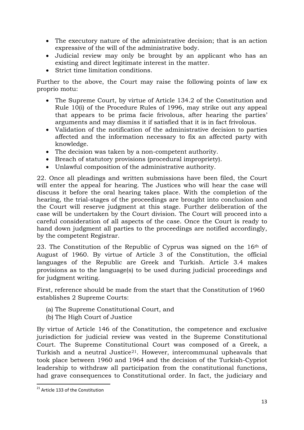- The executory nature of the administrative decision; that is an action expressive of the will of the administrative body.
- Judicial review may only be brought by an applicant who has an existing and direct legitimate interest in the matter.
- Strict time limitation conditions.

Further to the above, the Court may raise the following points of law ex proprio motu:

- The Supreme Court, by virtue of Article 134.2 of the Constitution and Rule 10(i) of the Procedure Rules of 1996, may strike out any appeal that appears to be prima facie frivolous, after hearing the parties' arguments and may dismiss it if satisfied that it is in fact frivolous.
- Validation of the notification of the administrative decision to parties affected and the information necessary to fix an affected party with knowledge.
- The decision was taken by a non-competent authority.
- Breach of statutory provisions (procedural impropriety).
- Unlawful composition of the administrative authority.

22. Once all pleadings and written submissions have been filed, the Court will enter the appeal for hearing. The Justices who will hear the case will discuss it before the oral hearing takes place. With the completion of the hearing, the trial-stages of the proceedings are brought into conclusion and the Court will reserve judgment at this stage. Further deliberation of the case will be undertaken by the Court division. The Court will proceed into a careful consideration of all aspects of the case. Once the Court is ready to hand down judgment all parties to the proceedings are notified accordingly, by the competent Registrar.

23. The Constitution of the Republic of Cyprus was signed on the 16th of August of 1960. By virtue of Article 3 of the Constitution, the official languages of the Republic are Greek and Turkish. Article 3.4 makes provisions as to the language(s) to be used during judicial proceedings and for judgment writing.

First, reference should be made from the start that the Constitution of 1960 establishes 2 Supreme Courts:

- (a) The Supreme Constitutional Court, and
- (b) The High Court of Justice

By virtue of Article 146 of the Constitution, the competence and exclusive jurisdiction for judicial review was vested in the Supreme Constitutional Court. The Supreme Constitutional Court was composed of a Greek, a Turkish and a neutral Justice<sup>21</sup>. However, intercommunal upheavals that took place between 1960 and 1964 and the decision of the Turkish-Cypriot leadership to withdraw all participation from the constitutional functions, had grave consequences to Constitutional order. In fact, the judiciary and

<span id="page-13-0"></span><sup>&</sup>lt;sup>21</sup> Article 133 of the Constitution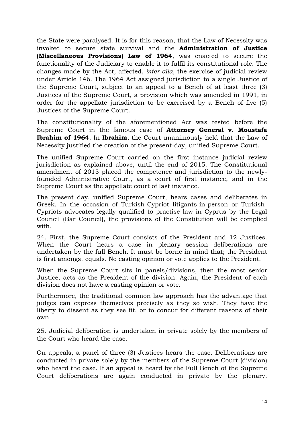the State were paralysed. It is for this reason, that the Law of Necessity was invoked to secure state survival and the **Administration of Justice (Miscellaneous Provisions) Law of 1964**, was enacted to secure the functionality of the Judiciary to enable it to fulfil its constitutional role. The changes made by the Act, affected, *inter alia*, the exercise of judicial review under Article 146. The 1964 Act assigned jurisdiction to a single Justice of the Supreme Court, subject to an appeal to a Bench of at least three (3) Justices of the Supreme Court, a provision which was amended in 1991, in order for the appellate jurisdiction to be exercised by a Bench of five (5) Justices of the Supreme Court.

The constitutionality of the aforementioned Act was tested before the Supreme Court in the famous case of **Attorney General v. Moustafa Ibrahim of 1964**. In **Ibrahim**, the Court unanimously held that the Law of Necessity justified the creation of the present-day, unified Supreme Court.

The unified Supreme Court carried on the first instance judicial review jurisdiction as explained above, until the end of 2015. The Constitutional amendment of 2015 placed the competence and jurisdiction to the newlyfounded Administrative Court, as a court of first instance, and in the Supreme Court as the appellate court of last instance.

The present day, unified Supreme Court, hears cases and deliberates in Greek. In the occasion of Turkish-Cypriot litigants-in-person or Turkish-Cypriots advocates legally qualified to practise law in Cyprus by the Legal Council (Bar Council), the provisions of the Constitution will be complied with.

24. First, the Supreme Court consists of the President and 12 Justices. When the Court hears a case in plenary session deliberations are undertaken by the full Bench. It must be borne in mind that; the President is first amongst equals. No casting opinion or vote applies to the President.

When the Supreme Court sits in panels/divisions, then the most senior Justice, acts as the President of the division. Again, the President of each division does not have a casting opinion or vote.

Furthermore, the traditional common law approach has the advantage that judges can express themselves precisely as they so wish. They have the liberty to dissent as they see fit, or to concur for different reasons of their own.

25. Judicial deliberation is undertaken in private solely by the members of the Court who heard the case.

On appeals, a panel of three (3) Justices hears the case. Deliberations are conducted in private solely by the members of the Supreme Court (division) who heard the case. If an appeal is heard by the Full Bench of the Supreme Court deliberations are again conducted in private by the plenary.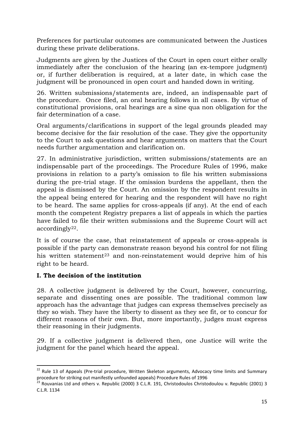Preferences for particular outcomes are communicated between the Justices during these private deliberations.

Judgments are given by the Justices of the Court in open court either orally immediately after the conclusion of the hearing (an ex-tempore judgment) or, if further deliberation is required, at a later date, in which case the judgment will be pronounced in open court and handed down in writing.

26. Written submissions/statements are, indeed, an indispensable part of the procedure. Once filed, an oral hearing follows in all cases. By virtue of constitutional provisions, oral hearings are a sine qua non obligation for the fair determination of a case.

Oral arguments/clarifications in support of the legal grounds pleaded may become decisive for the fair resolution of the case. They give the opportunity to the Court to ask questions and hear arguments on matters that the Court needs further argumentation and clarification on.

27. In administrative jurisdiction, written submissions/statements are an indispensable part of the proceedings. The Procedure Rules of 1996, make provisions in relation to a party's omission to file his written submissions during the pre-trial stage. If the omission burdens the appellant, then the appeal is dismissed by the Court. An omission by the respondent results in the appeal being entered for hearing and the respondent will have no right to be heard. The same applies for cross-appeals (if any). At the end of each month the competent Registry prepares a list of appeals in which the parties have failed to file their written submissions and the Supreme Court will act accordingly[22.](#page-15-0)

It is of course the case, that reinstatement of appeals or cross-appeals is possible if the party can demonstrate reason beyond his control for not filing his written statement<sup>[23](#page-15-1)</sup> and non-reinstatement would deprive him of his right to be heard.

#### **I. The decision of the institution**

28. A collective judgment is delivered by the Court, however, concurring, separate and dissenting ones are possible. The traditional common law approach has the advantage that judges can express themselves precisely as they so wish. They have the liberty to dissent as they see fit, or to concur for different reasons of their own. But, more importantly, judges must express their reasoning in their judgments.

29. If a collective judgment is delivered then, one Justice will write the judgment for the panel which heard the appeal.

<span id="page-15-0"></span><sup>&</sup>lt;sup>22</sup> Rule 13 of Appeals (Pre-trial procedure, Written Skeleton arguments, Advocacy time limits and Summary procedure for striking out manifestly unfounded appeals) Procedure Rules of 1996

<span id="page-15-1"></span><sup>&</sup>lt;sup>23</sup> Rouvanias Ltd and others v. Republic (2000) 3 C.L.R. 191, Christodoulos Christodoulou v. Republic (2001) 3 C.L.R. 1134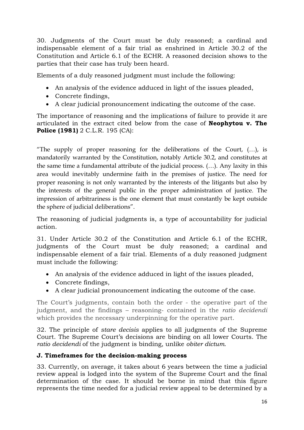30. Judgments of the Court must be duly reasoned; a cardinal and indispensable element of a fair trial as enshrined in Article 30.2 of the Constitution and Article 6.1 of the ECHR. A reasoned decision shows to the parties that their case has truly been heard.

Elements of a duly reasoned judgment must include the following:

- An analysis of the evidence adduced in light of the issues pleaded,
- Concrete findings,
- A clear judicial pronouncement indicating the outcome of the case.

The importance of reasoning and the implications of failure to provide it are articulated in the extract cited below from the case of **Neophytou v. The Police (1981)** 2 C.L.R. 195 (CA):

"The supply of proper reasoning for the deliberations of the Court,  $(...)$ , is mandatorily warranted by the Constitution, notably Article 30.2, and constitutes at the same time a fundamental attribute of the judicial process. (…). Any laxity in this area would inevitably undermine faith in the premises of justice. The need for proper reasoning is not only warranted by the interests of the litigants but also by the interests of the general public in the proper administration of justice. The impression of arbitrariness is the one element that must constantly be kept outside the sphere of judicial deliberations".

The reasoning of judicial judgments is, a type of accountability for judicial action.

31. Under Article 30.2 of the Constitution and Article 6.1 of the ECHR, judgments of the Court must be duly reasoned; a cardinal and indispensable element of a fair trial. Elements of a duly reasoned judgment must include the following:

- An analysis of the evidence adduced in light of the issues pleaded,
- Concrete findings,
- A clear judicial pronouncement indicating the outcome of the case.

The Court's judgments, contain both the order - the operative part of the judgment, and the findings – reasoning- contained in the *ratio decidendi* which provides the necessary underpinning for the operative part.

32. The principle of *stare decisis* applies to all judgments of the Supreme Court. The Supreme Court's decisions are binding on all lower Courts. The *ratio decidendi* of the judgment is binding, unlike *obiter dictum*.

#### **J. Timeframes for the decision-making process**

33. Currently, on average, it takes about 6 years between the time a judicial review appeal is lodged into the system of the Supreme Court and the final determination of the case. It should be borne in mind that this figure represents the time needed for a judicial review appeal to be determined by a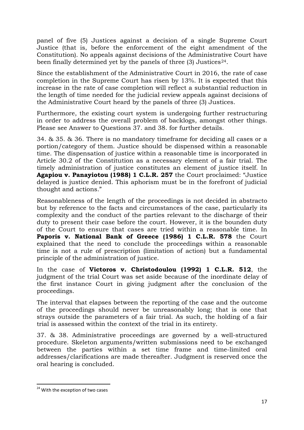panel of five (5) Justices against a decision of a single Supreme Court Justice (that is, before the enforcement of the eight amendment of the Constitution). No appeals against decisions of the Administrative Court have been finally determined yet by the panels of three  $(3)$  Justices<sup>[24](#page-17-0)</sup>.

Since the establishment of the Administrative Court in 2016, the rate of case completion in the Supreme Court has risen by 13%. It is expected that this increase in the rate of case completion will reflect a substantial reduction in the length of time needed for the judicial review appeals against decisions of the Administrative Court heard by the panels of three (3) Justices.

Furthermore, the existing court system is undergoing further restructuring in order to address the overall problem of backlogs, amongst other things. Please see Answer to Questions 37. and 38. for further details.

34. & 35. & 36. There is no mandatory timeframe for deciding all cases or a portion/category of them. Justice should be dispensed within a reasonable time. The dispensation of justice within a reasonable time is incorporated in Article 30.2 of the Constitution as a necessary element of a fair trial. The timely administration of justice constitutes an element of justice itself. In **Agapiou v. Panayiotou (1988) 1 C.L.R. 257** the Court proclaimed: "Justice delayed is justice denied. This aphorism must be in the forefront of judicial thought and actions."

Reasonableness of the length of the proceedings is not decided in abstracto but by reference to the facts and circumstances of the case, particularly its complexity and the conduct of the parties relevant to the discharge of their duty to present their case before the court. However, it is the bounden duty of the Court to ensure that cases are tried within a reasonable time. In **Paporis v. National Bank of Greece (1986) 1 C.L.R. 578** the Court explained that the need to conclude the proceedings within a reasonable time is not a rule of prescription (limitation of action) but a fundamental principle of the administration of justice.

In the case of **Victoros v. Christodoulou (1992) 1 C.L.R. 512**, the judgment of the trial Court was set aside because of the inordinate delay of the first instance Court in giving judgment after the conclusion of the proceedings.

The interval that elapses between the reporting of the case and the outcome of the proceedings should never be unreasonably long; that is one that strays outside the parameters of a fair trial. As such, the holding of a fair trial is assessed within the context of the trial in its entirety.

37. & 38. Administrative proceedings are governed by a well-structured procedure. Skeleton arguments/written submissions need to be exchanged between the parties within a set time frame and time-limited oral addresses/clarifications are made thereafter. Judgment is reserved once the oral hearing is concluded.

<span id="page-17-0"></span><sup>&</sup>lt;sup>24</sup> With the exception of two cases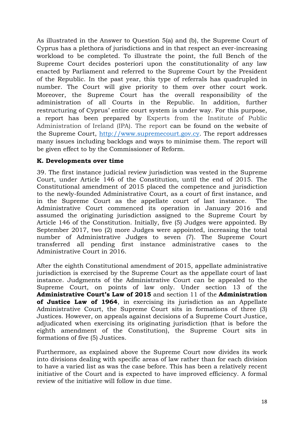As illustrated in the Answer to Question 5(a) and (b), the Supreme Court of Cyprus has a plethora of jurisdictions and in that respect an ever-increasing workload to be completed. To illustrate the point, the full Bench of the Supreme Court decides posteriori upon the constitutionality of any law enacted by Parliament and referred to the Supreme Court by the President of the Republic. In the past year, this type of referrals has quadrupled in number. The Court will give priority to them over other court work. Moreover, the Supreme Court has the overall responsibility of the administration of all Courts in the Republic. In addition, further restructuring of Cyprus' entire court system is under way. For this purpose, a report has been prepared by Experts from the Institute of Public Administration of Ireland (IPA). The report can be found on the website of the Supreme Court, [http://www.supremecourt.gov.cy.](http://www.supremecourt.gov.cy/) The report addresses many issues including backlogs and ways to minimise them. The report will be given effect to by the Commissioner of Reform.

#### **K. Developments over time**

39. The first instance judicial review jurisdiction was vested in the Supreme Court, under Article 146 of the Constitution, until the end of 2015. The Constitutional amendment of 2015 placed the competence and jurisdiction to the newly-founded Administrative Court, as a court of first instance, and in the Supreme Court as the appellate court of last instance. The Administrative Court commenced its operation in January 2016 and assumed the originating jurisdiction assigned to the Supreme Court by Article 146 of the Constitution. Initially, five (5) Judges were appointed. By September 2017, two (2) more Judges were appointed, increasing the total number of Administrative Judges to seven (7). The Supreme Court transferred all pending first instance administrative cases to the Administrative Court in 2016.

After the eighth Constitutional amendment of 2015, appellate administrative jurisdiction is exercised by the Supreme Court as the appellate court of last instance. Judgments of the Administrative Court can be appealed to the Supreme Court, on points of law only. Under section 13 of the **Administrative Court's Law of 2015** and section 11 of the **Administration of Justice Law of 1964**, in exercising its jurisdiction as an Appellate Administrative Court, the Supreme Court sits in formations of three (3) Justices. However, on appeals against decisions of a Supreme Court Justice, adjudicated when exercising its originating jurisdiction (that is before the eighth amendment of the Constitution), the Supreme Court sits in formations of five (5) Justices.

Furthermore, as explained above the Supreme Court now divides its work into divisions dealing with specific areas of law rather than for each division to have a varied list as was the case before. This has been a relatively recent initiative of the Court and is expected to have improved efficiency. A formal review of the initiative will follow in due time.